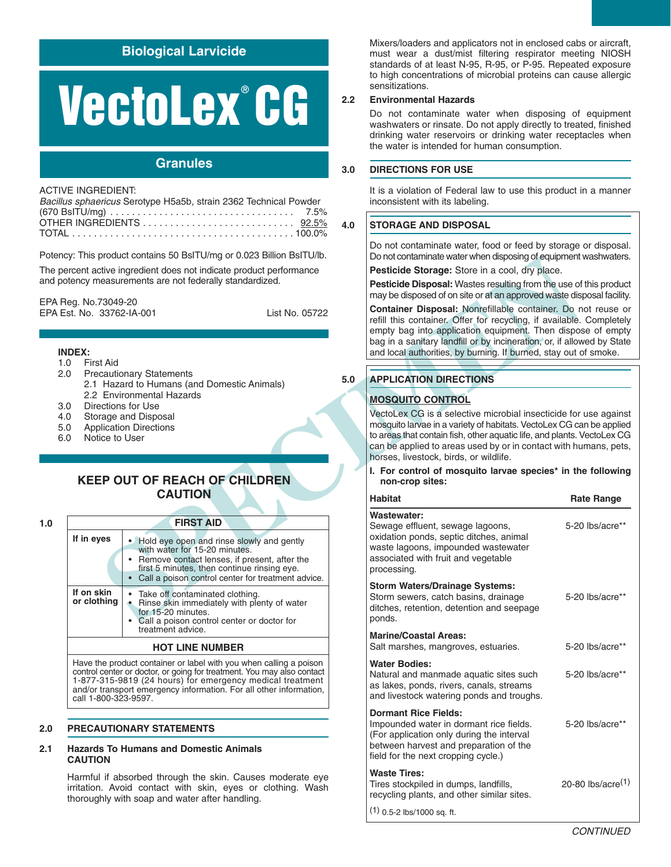# **Biological Larvicide**

# **VectoLex CG ®**

# **Granules**

#### ACTIVE INGREDIENT:

| Bacillus sphaericus Serotype H5a5b, strain 2362 Technical Powder |
|------------------------------------------------------------------|
|                                                                  |
|                                                                  |
|                                                                  |

Potency: This product contains 50 BsITU/mg or 0.023 Billion BsITU/lb.

The percent active ingredient does not indicate product performance and potency measurements are not federally standardized.

EPA Reg. No.73049-20 EPA Est. No. 33762-IA-001 List No. 05722

#### **INDEX:**

- 
- 1.0 First Aid **Precautionary Statements**
- 2.1 Hazard to Humans (and Domestic Animals) 2.2 Environmental Hazards
- 3.0 Directions for Use
- 4.0 Storage and Disposal
- 5.0 Application Directions
- 6.0 Notice to User

## **KEEP OUT OF REACH OF CHILDREN CAUTION**

#### **1.0 FIRST AID If in eyes** • Hold eye open and rinse slowly and gently with water for 15-20 minutes. Remove contact lenses, if present, after the first 5 minutes, then continue rinsing eye. Call a poison control center for treatment advice. **If on skin** • Take off contaminated clothing.<br> **or clothing** • Rinse skin immediately with plenty of water for 15-20 minutes. Call a poison control center or doctor for treatment advice. **HOT LINE NUMBER** Have the product container or label with you when calling a poison control center or doctor, or going for treatment. You may also contact

1-877-315-9819 (24 hours) for emergency medical treatment and/or transport emergency information. For all other information, call 1-800-323-9597.

#### **2.0 PRECAUTIONARY STATEMENTS**

#### **2.1 Hazards To Humans and Domestic Animals CAUTION**

Harmful if absorbed through the skin. Causes moderate eye irritation. Avoid contact with skin, eyes or clothing. Wash thoroughly with soap and water after handling.

Mixers/loaders and applicators not in enclosed cabs or aircraft, must wear a dust/mist filtering respirator meeting NIOSH standards of at least N-95, R-95, or P-95. Repeated exposure to high concentrations of microbial proteins can cause allergic sensitizations.

#### **2.2 Environmental Hazards**

Do not contaminate water when disposing of equipment washwaters or rinsate. Do not apply directly to treated, finished drinking water reservoirs or drinking water receptacles when the water is intended for human consumption.

#### **3.0 DIRECTIONS FOR USE**

It is a violation of Federal law to use this product in a manner inconsistent with its labeling.

#### **4.0 STORAGE AND DISPOSAL**

Do not contaminate water, food or feed by storage or disposal. Do not contaminate water when disposing of equipment washwaters.

## **5.0 APPLICATION DIRECTIONS**

## **MOSQUITO CONTROL**

| product contains 50 BSH O/Mg or 0.023 Billion BSH O/ID.                                                                                                                                                                                                               | Do not contaminate water when disposing of equipment washwaters.                                                                                                                                                                                                              |  |  |
|-----------------------------------------------------------------------------------------------------------------------------------------------------------------------------------------------------------------------------------------------------------------------|-------------------------------------------------------------------------------------------------------------------------------------------------------------------------------------------------------------------------------------------------------------------------------|--|--|
| ctive ingredient does not indicate product performance                                                                                                                                                                                                                | Pesticide Storage: Store in a cool, dry place.                                                                                                                                                                                                                                |  |  |
| easurements are not federally standardized.                                                                                                                                                                                                                           | <b>Pesticide Disposal:</b> Wastes resulting from the use of this product<br>may be disposed of on site or at an approved waste disposal facility.                                                                                                                             |  |  |
| 73049-20<br>33762-IA-001<br>List No. 05722                                                                                                                                                                                                                            | Container Disposal: Nonrefillable container. Do not reuse or<br>refill this container. Offer for recycling, if available. Completely<br>empty bag into application equipment. Then dispose of empty<br>bag in a sanitary landfill or by incineration, or, if allowed by State |  |  |
|                                                                                                                                                                                                                                                                       | and local authorities, by burning. If burned, stay out of smoke.                                                                                                                                                                                                              |  |  |
| it Aid<br>cautionary Statements                                                                                                                                                                                                                                       |                                                                                                                                                                                                                                                                               |  |  |
| Hazard to Humans (and Domestic Animals)                                                                                                                                                                                                                               | <b>APPLICATION DIRECTIONS</b><br>5.0                                                                                                                                                                                                                                          |  |  |
| <b>Environmental Hazards</b>                                                                                                                                                                                                                                          | <b>MOSQUITO CONTROL</b>                                                                                                                                                                                                                                                       |  |  |
| ections for Use                                                                                                                                                                                                                                                       | VectoLex CG is a selective microbial insecticide for use against                                                                                                                                                                                                              |  |  |
| rage and Disposal<br><b>plication Directions</b><br>ice to User                                                                                                                                                                                                       | mosquito larvae in a variety of habitats. VectoLex CG can be applied<br>to areas that contain fish, other aquatic life, and plants. VectoLex CG<br>can be applied to areas used by or in contact with humans, pets,<br>horses, livestock, birds, or wildlife.                 |  |  |
| <b>EP OUT OF REACH OF CHILDREN</b>                                                                                                                                                                                                                                    | I. For control of mosquito larvae species <sup>*</sup> in the following<br>non-crop sites:                                                                                                                                                                                    |  |  |
| <b>CAUTION</b>                                                                                                                                                                                                                                                        | <b>Habitat</b><br><b>Rate Range</b>                                                                                                                                                                                                                                           |  |  |
| <b>FIRST AID</b><br>/es<br>• Hold eye open and rinse slowly and gently                                                                                                                                                                                                | Wastewater:<br>Sewage effluent, sewage lagoons,<br>5-20 lbs/acre**<br>oxidation ponds, septic ditches, animal                                                                                                                                                                 |  |  |
| with water for 15-20 minutes.<br>Remove contact lenses, if present, after the<br>first 5 minutes, then continue rinsing eye.<br>• Call a poison control center for treatment advice.                                                                                  | waste lagoons, impounded wastewater<br>associated with fruit and vegetable<br>processing.                                                                                                                                                                                     |  |  |
| kin<br>• Take off contaminated clothing.<br>hing:<br>Rinse skin immediately with plenty of water<br>for 15-20 minutes.<br>Call a poison control center or doctor for<br>treatment advice.                                                                             | <b>Storm Waters/Drainage Systems:</b><br>Storm sewers, catch basins, drainage<br>5-20 lbs/acre**<br>ditches, retention, detention and seepage<br>ponds.                                                                                                                       |  |  |
|                                                                                                                                                                                                                                                                       | <b>Marine/Coastal Areas:</b>                                                                                                                                                                                                                                                  |  |  |
| <b>HOT LINE NUMBER</b>                                                                                                                                                                                                                                                | Salt marshes, mangroves, estuaries.<br>5-20 lbs/acre**                                                                                                                                                                                                                        |  |  |
| he product container or label with you when calling a poison<br>center or doctor, or going for treatment. You may also contact<br>315-9819 (24 hours) for emergency medical treatment<br>transport emergency information. For all other information,<br>300-323-9597. | <b>Water Bodies:</b><br>Natural and manmade aquatic sites such<br>5-20 lbs/acre**<br>as lakes, ponds, rivers, canals, streams<br>and livestock watering ponds and troughs.                                                                                                    |  |  |
|                                                                                                                                                                                                                                                                       | <b>Dormant Rice Fields:</b>                                                                                                                                                                                                                                                   |  |  |
| <b>UTIONARY STATEMENTS</b>                                                                                                                                                                                                                                            | Impounded water in dormant rice fields.<br>5-20 lbs/acre**<br>(For application only during the interval                                                                                                                                                                       |  |  |
| s To Humans and Domestic Animals<br>ЭN                                                                                                                                                                                                                                | between harvest and preparation of the<br>field for the next cropping cycle.)                                                                                                                                                                                                 |  |  |
| I if absorbed through the skin. Causes moderate eye<br>1. Avoid contact with skin, eyes or clothing. Wash<br>hly with soap and water after handling.                                                                                                                  | <b>Waste Tires:</b><br>20-80 $\text{lbs/acre}(1)$<br>Tires stockpiled in dumps, landfills,<br>recycling plants, and other similar sites.                                                                                                                                      |  |  |
|                                                                                                                                                                                                                                                                       | $(1)$ 0.5-2 lbs/1000 sq. ft.                                                                                                                                                                                                                                                  |  |  |